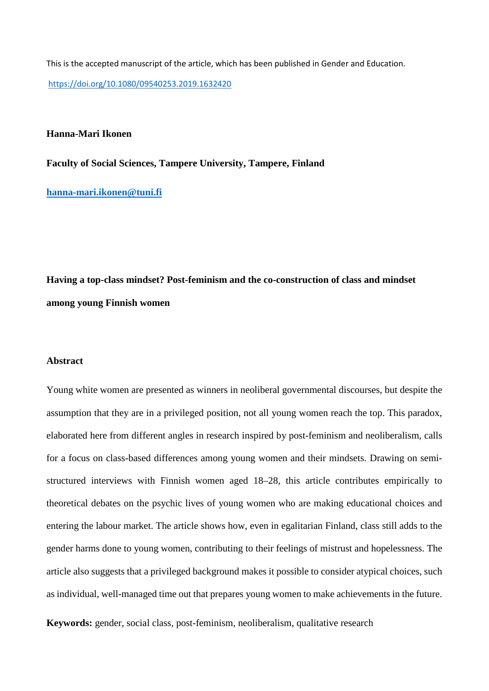This is the accepted manuscript of the article, which has been published in Gender and Education. <https://doi.org/10.1080/09540253.2019.1632420>

## **Hanna-Mari Ikonen**

**Faculty of Social Sciences, Tampere University, Tampere, Finland**

**[hanna-mari.ikonen@tuni.fi](mailto:hanna-mari.ikonen@tuni.fi)**

**Having a top-class mindset? Post-feminism and the co-construction of class and mindset among young Finnish women**

### **Abstract**

Young white women are presented as winners in neoliberal governmental discourses, but despite the assumption that they are in a privileged position, not all young women reach the top. This paradox, elaborated here from different angles in research inspired by post-feminism and neoliberalism, calls for a focus on class-based differences among young women and their mindsets. Drawing on semistructured interviews with Finnish women aged 18–28, this article contributes empirically to theoretical debates on the psychic lives of young women who are making educational choices and entering the labour market. The article shows how, even in egalitarian Finland, class still adds to the gender harms done to young women, contributing to their feelings of mistrust and hopelessness. The article also suggests that a privileged background makes it possible to consider atypical choices, such as individual, well-managed time out that prepares young women to make achievements in the future.

**Keywords:** gender, social class, post-feminism, neoliberalism, qualitative research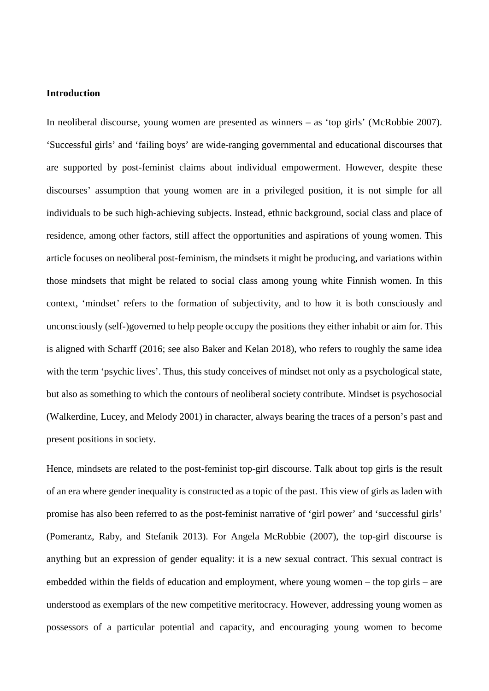## **Introduction**

In neoliberal discourse, young women are presented as winners – as 'top girls' (McRobbie 2007). 'Successful girls' and 'failing boys' are wide-ranging governmental and educational discourses that are supported by post-feminist claims about individual empowerment. However, despite these discourses' assumption that young women are in a privileged position, it is not simple for all individuals to be such high-achieving subjects. Instead, ethnic background, social class and place of residence, among other factors, still affect the opportunities and aspirations of young women. This article focuses on neoliberal post-feminism, the mindsets it might be producing, and variations within those mindsets that might be related to social class among young white Finnish women. In this context, 'mindset' refers to the formation of subjectivity, and to how it is both consciously and unconsciously (self-)governed to help people occupy the positions they either inhabit or aim for. This is aligned with Scharff (2016; see also Baker and Kelan 2018), who refers to roughly the same idea with the term 'psychic lives'. Thus, this study conceives of mindset not only as a psychological state, but also as something to which the contours of neoliberal society contribute. Mindset is psychosocial (Walkerdine, Lucey, and Melody 2001) in character, always bearing the traces of a person's past and present positions in society.

Hence, mindsets are related to the post-feminist top-girl discourse. Talk about top girls is the result of an era where gender inequality is constructed as a topic of the past. This view of girls as laden with promise has also been referred to as the post-feminist narrative of 'girl power' and 'successful girls' (Pomerantz, Raby, and Stefanik 2013). For Angela McRobbie (2007), the top-girl discourse is anything but an expression of gender equality: it is a new sexual contract. This sexual contract is embedded within the fields of education and employment, where young women – the top girls – are understood as exemplars of the new competitive meritocracy. However, addressing young women as possessors of a particular potential and capacity, and encouraging young women to become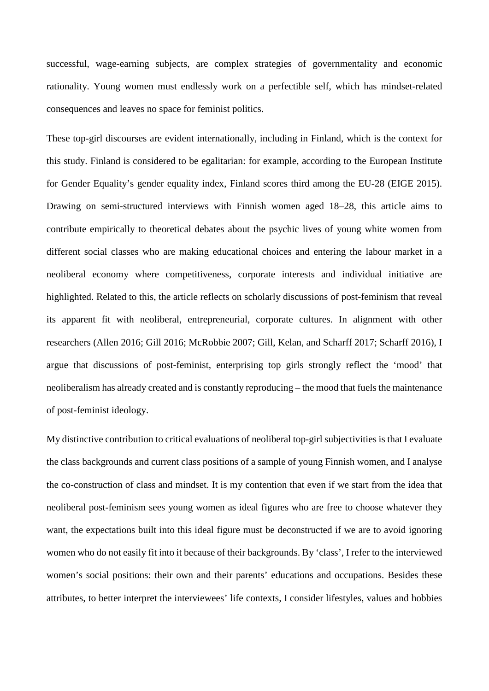successful, wage-earning subjects, are complex strategies of governmentality and economic rationality. Young women must endlessly work on a perfectible self, which has mindset-related consequences and leaves no space for feminist politics.

These top-girl discourses are evident internationally, including in Finland, which is the context for this study. Finland is considered to be egalitarian: for example, according to the European Institute for Gender Equality's gender equality index, Finland scores third among the EU-28 (EIGE 2015). Drawing on semi-structured interviews with Finnish women aged 18–28, this article aims to contribute empirically to theoretical debates about the psychic lives of young white women from different social classes who are making educational choices and entering the labour market in a neoliberal economy where competitiveness, corporate interests and individual initiative are highlighted. Related to this, the article reflects on scholarly discussions of post-feminism that reveal its apparent fit with neoliberal, entrepreneurial, corporate cultures. In alignment with other researchers (Allen 2016; Gill 2016; McRobbie 2007; Gill, Kelan, and Scharff 2017; Scharff 2016), I argue that discussions of post-feminist, enterprising top girls strongly reflect the 'mood' that neoliberalism has already created and is constantly reproducing – the mood that fuels the maintenance of post-feminist ideology.

My distinctive contribution to critical evaluations of neoliberal top-girl subjectivities is that I evaluate the class backgrounds and current class positions of a sample of young Finnish women, and I analyse the co-construction of class and mindset. It is my contention that even if we start from the idea that neoliberal post-feminism sees young women as ideal figures who are free to choose whatever they want, the expectations built into this ideal figure must be deconstructed if we are to avoid ignoring women who do not easily fit into it because of their backgrounds. By 'class', I refer to the interviewed women's social positions: their own and their parents' educations and occupations. Besides these attributes, to better interpret the interviewees' life contexts, I consider lifestyles, values and hobbies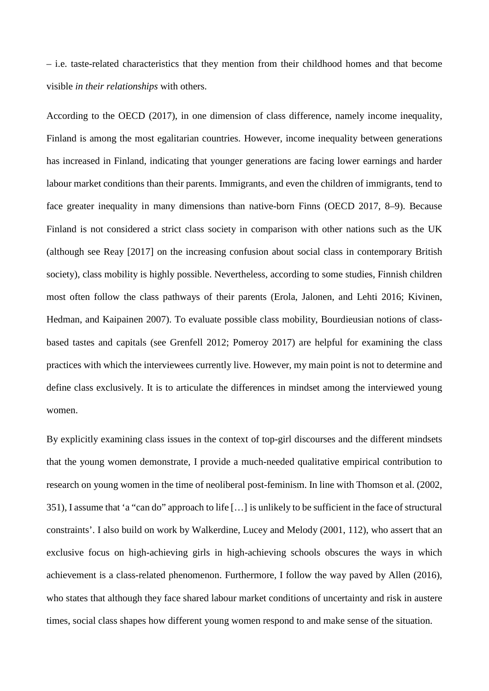– i.e. taste-related characteristics that they mention from their childhood homes and that become visible *in their relationships* with others.

According to the OECD (2017), in one dimension of class difference, namely income inequality, Finland is among the most egalitarian countries. However, income inequality between generations has increased in Finland, indicating that younger generations are facing lower earnings and harder labour market conditions than their parents. Immigrants, and even the children of immigrants, tend to face greater inequality in many dimensions than native-born Finns (OECD 2017, 8–9). Because Finland is not considered a strict class society in comparison with other nations such as the UK (although see Reay [2017] on the increasing confusion about social class in contemporary British society), class mobility is highly possible. Nevertheless, according to some studies, Finnish children most often follow the class pathways of their parents (Erola, Jalonen, and Lehti 2016; Kivinen, Hedman, and Kaipainen 2007). To evaluate possible class mobility, Bourdieusian notions of classbased tastes and capitals (see Grenfell 2012; Pomeroy 2017) are helpful for examining the class practices with which the interviewees currently live. However, my main point is not to determine and define class exclusively. It is to articulate the differences in mindset among the interviewed young women.

By explicitly examining class issues in the context of top-girl discourses and the different mindsets that the young women demonstrate, I provide a much-needed qualitative empirical contribution to research on young women in the time of neoliberal post-feminism. In line with Thomson et al. (2002, 351), I assume that 'a "can do" approach to life […] is unlikely to be sufficient in the face of structural constraints'. I also build on work by Walkerdine, Lucey and Melody (2001, 112), who assert that an exclusive focus on high-achieving girls in high-achieving schools obscures the ways in which achievement is a class-related phenomenon. Furthermore, I follow the way paved by Allen (2016), who states that although they face shared labour market conditions of uncertainty and risk in austere times, social class shapes how different young women respond to and make sense of the situation.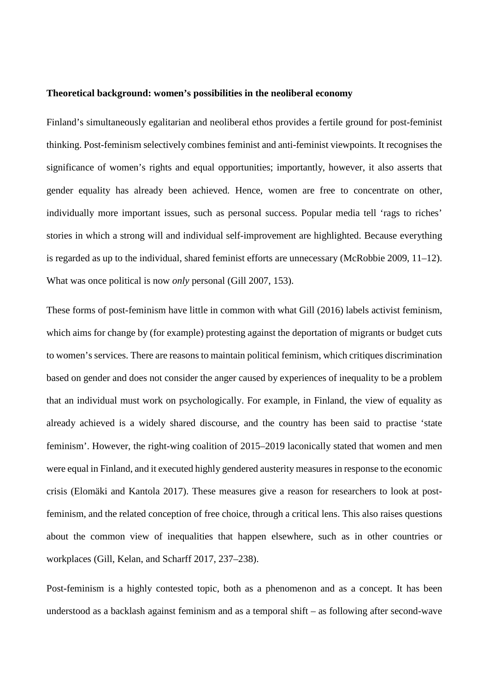#### **Theoretical background: women's possibilities in the neoliberal economy**

Finland's simultaneously egalitarian and neoliberal ethos provides a fertile ground for post-feminist thinking. Post-feminism selectively combines feminist and anti-feminist viewpoints. It recognises the significance of women's rights and equal opportunities; importantly, however, it also asserts that gender equality has already been achieved. Hence, women are free to concentrate on other, individually more important issues, such as personal success. Popular media tell 'rags to riches' stories in which a strong will and individual self-improvement are highlighted. Because everything is regarded as up to the individual, shared feminist efforts are unnecessary (McRobbie 2009, 11–12). What was once political is now *only* personal (Gill 2007, 153).

These forms of post-feminism have little in common with what Gill (2016) labels activist feminism, which aims for change by (for example) protesting against the deportation of migrants or budget cuts to women's services. There are reasons to maintain political feminism, which critiques discrimination based on gender and does not consider the anger caused by experiences of inequality to be a problem that an individual must work on psychologically. For example, in Finland, the view of equality as already achieved is a widely shared discourse, and the country has been said to practise 'state feminism'. However, the right-wing coalition of 2015–2019 laconically stated that women and men were equal in Finland, and it executed highly gendered austerity measures in response to the economic crisis (Elomäki and Kantola 2017). These measures give a reason for researchers to look at postfeminism, and the related conception of free choice, through a critical lens. This also raises questions about the common view of inequalities that happen elsewhere, such as in other countries or workplaces (Gill, Kelan, and Scharff 2017, 237–238).

Post-feminism is a highly contested topic, both as a phenomenon and as a concept. It has been understood as a backlash against feminism and as a temporal shift – as following after second-wave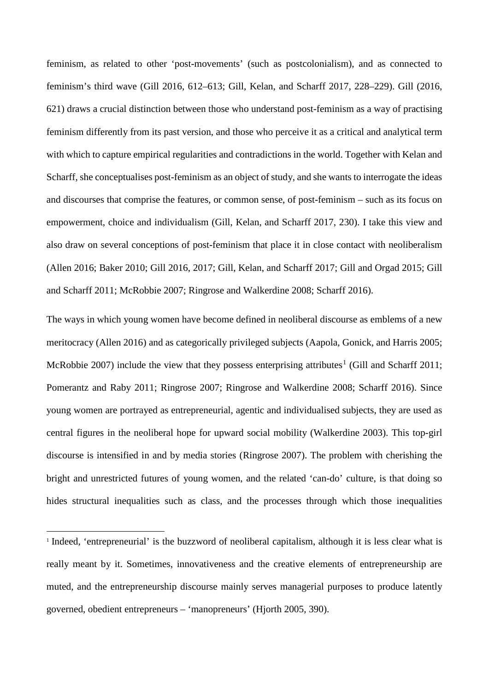feminism, as related to other 'post-movements' (such as postcolonialism), and as connected to feminism's third wave (Gill 2016, 612–613; Gill, Kelan, and Scharff 2017, 228–229). Gill (2016, 621) draws a crucial distinction between those who understand post-feminism as a way of practising feminism differently from its past version, and those who perceive it as a critical and analytical term with which to capture empirical regularities and contradictions in the world. Together with Kelan and Scharff, she conceptualises post-feminism as an object of study, and she wants to interrogate the ideas and discourses that comprise the features, or common sense, of post-feminism – such as its focus on empowerment, choice and individualism (Gill, Kelan, and Scharff 2017, 230). I take this view and also draw on several conceptions of post-feminism that place it in close contact with neoliberalism (Allen 2016; Baker 2010; Gill 2016, 2017; Gill, Kelan, and Scharff 2017; Gill and Orgad 2015; Gill and Scharff 2011; McRobbie 2007; Ringrose and Walkerdine 2008; Scharff 2016).

The ways in which young women have become defined in neoliberal discourse as emblems of a new meritocracy (Allen 2016) and as categorically privileged subjects (Aapola, Gonick, and Harris 2005; McRobbie 2007) include the view that they possess enterprising attributes<sup>[1](#page-5-0)</sup> (Gill and Scharff 2011; Pomerantz and Raby 2011; Ringrose 2007; Ringrose and Walkerdine 2008; Scharff 2016). Since young women are portrayed as entrepreneurial, agentic and individualised subjects, they are used as central figures in the neoliberal hope for upward social mobility (Walkerdine 2003). This top-girl discourse is intensified in and by media stories (Ringrose 2007). The problem with cherishing the bright and unrestricted futures of young women, and the related 'can-do' culture, is that doing so hides structural inequalities such as class, and the processes through which those inequalities

 $\overline{a}$ 

<span id="page-5-0"></span><sup>1</sup> Indeed, 'entrepreneurial' is the buzzword of neoliberal capitalism, although it is less clear what is really meant by it. Sometimes, innovativeness and the creative elements of entrepreneurship are muted, and the entrepreneurship discourse mainly serves managerial purposes to produce latently governed, obedient entrepreneurs – 'manopreneurs' (Hjorth 2005, 390).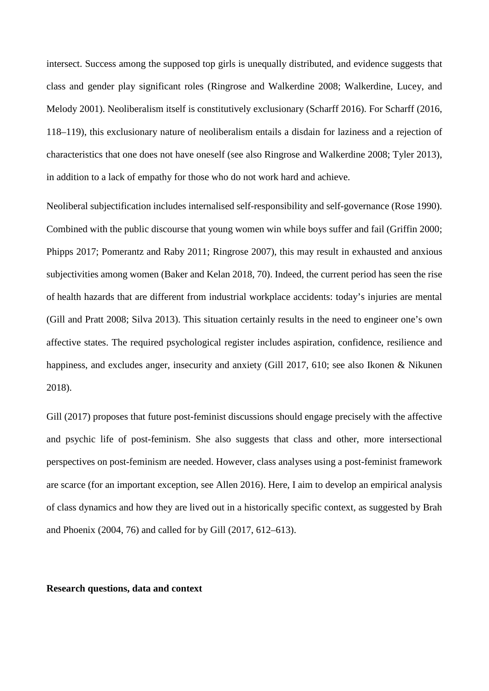intersect. Success among the supposed top girls is unequally distributed, and evidence suggests that class and gender play significant roles (Ringrose and Walkerdine 2008; Walkerdine, Lucey, and Melody 2001). Neoliberalism itself is constitutively exclusionary (Scharff 2016). For Scharff (2016, 118–119), this exclusionary nature of neoliberalism entails a disdain for laziness and a rejection of characteristics that one does not have oneself (see also Ringrose and Walkerdine 2008; Tyler 2013), in addition to a lack of empathy for those who do not work hard and achieve.

Neoliberal subjectification includes internalised self-responsibility and self-governance (Rose 1990). Combined with the public discourse that young women win while boys suffer and fail (Griffin 2000; Phipps 2017; Pomerantz and Raby 2011; Ringrose 2007), this may result in exhausted and anxious subjectivities among women (Baker and Kelan 2018, 70). Indeed, the current period has seen the rise of health hazards that are different from industrial workplace accidents: today's injuries are mental (Gill and Pratt 2008; Silva 2013). This situation certainly results in the need to engineer one's own affective states. The required psychological register includes aspiration, confidence, resilience and happiness, and excludes anger, insecurity and anxiety (Gill 2017, 610; see also Ikonen & Nikunen 2018).

Gill (2017) proposes that future post-feminist discussions should engage precisely with the affective and psychic life of post-feminism. She also suggests that class and other, more intersectional perspectives on post-feminism are needed. However, class analyses using a post-feminist framework are scarce (for an important exception, see Allen 2016). Here, I aim to develop an empirical analysis of class dynamics and how they are lived out in a historically specific context, as suggested by Brah and Phoenix (2004, 76) and called for by Gill (2017, 612–613).

## **Research questions, data and context**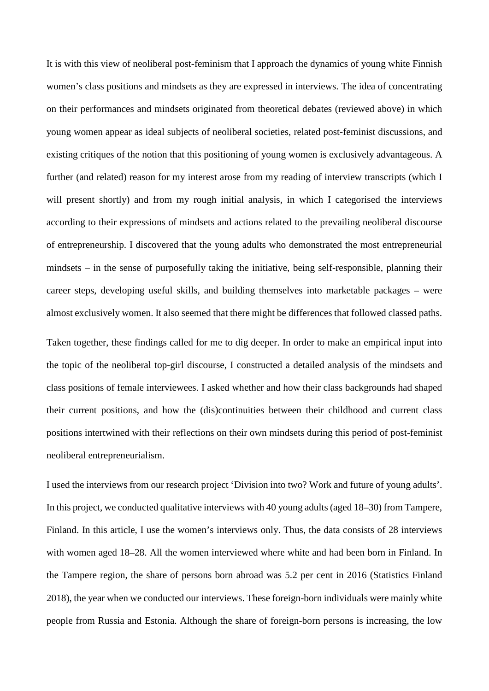It is with this view of neoliberal post-feminism that I approach the dynamics of young white Finnish women's class positions and mindsets as they are expressed in interviews. The idea of concentrating on their performances and mindsets originated from theoretical debates (reviewed above) in which young women appear as ideal subjects of neoliberal societies, related post-feminist discussions, and existing critiques of the notion that this positioning of young women is exclusively advantageous. A further (and related) reason for my interest arose from my reading of interview transcripts (which I will present shortly) and from my rough initial analysis, in which I categorised the interviews according to their expressions of mindsets and actions related to the prevailing neoliberal discourse of entrepreneurship. I discovered that the young adults who demonstrated the most entrepreneurial mindsets – in the sense of purposefully taking the initiative, being self-responsible, planning their career steps, developing useful skills, and building themselves into marketable packages – were almost exclusively women. It also seemed that there might be differences that followed classed paths.

Taken together, these findings called for me to dig deeper. In order to make an empirical input into the topic of the neoliberal top-girl discourse, I constructed a detailed analysis of the mindsets and class positions of female interviewees. I asked whether and how their class backgrounds had shaped their current positions, and how the (dis)continuities between their childhood and current class positions intertwined with their reflections on their own mindsets during this period of post-feminist neoliberal entrepreneurialism.

I used the interviews from our research project 'Division into two? Work and future of young adults'. In this project, we conducted qualitative interviews with 40 young adults (aged 18–30) from Tampere, Finland. In this article, I use the women's interviews only. Thus, the data consists of 28 interviews with women aged 18–28. All the women interviewed where white and had been born in Finland. In the Tampere region, the share of persons born abroad was 5.2 per cent in 2016 (Statistics Finland 2018), the year when we conducted our interviews. These foreign-born individuals were mainly white people from Russia and Estonia. Although the share of foreign-born persons is increasing, the low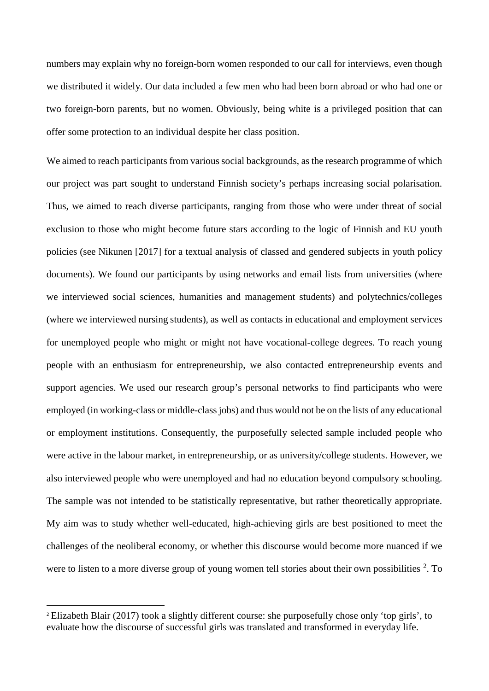numbers may explain why no foreign-born women responded to our call for interviews, even though we distributed it widely. Our data included a few men who had been born abroad or who had one or two foreign-born parents, but no women. Obviously, being white is a privileged position that can offer some protection to an individual despite her class position.

We aimed to reach participants from various social backgrounds, as the research programme of which our project was part sought to understand Finnish society's perhaps increasing social polarisation. Thus, we aimed to reach diverse participants, ranging from those who were under threat of social exclusion to those who might become future stars according to the logic of Finnish and EU youth policies (see Nikunen [2017] for a textual analysis of classed and gendered subjects in youth policy documents). We found our participants by using networks and email lists from universities (where we interviewed social sciences, humanities and management students) and polytechnics/colleges (where we interviewed nursing students), as well as contacts in educational and employment services for unemployed people who might or might not have vocational-college degrees. To reach young people with an enthusiasm for entrepreneurship, we also contacted entrepreneurship events and support agencies. We used our research group's personal networks to find participants who were employed (in working-class or middle-class jobs) and thus would not be on the lists of any educational or employment institutions. Consequently, the purposefully selected sample included people who were active in the labour market, in entrepreneurship, or as university/college students. However, we also interviewed people who were unemployed and had no education beyond compulsory schooling. The sample was not intended to be statistically representative, but rather theoretically appropriate. My aim was to study whether well-educated, high-achieving girls are best positioned to meet the challenges of the neoliberal economy, or whether this discourse would become more nuanced if we were to listen to a more diverse group of young women tell stories about their own possibilities <sup>[2](#page-8-0)</sup>. To

<span id="page-8-0"></span> <sup>2</sup> Elizabeth Blair (2017) took a slightly different course: she purposefully chose only 'top girls', to evaluate how the discourse of successful girls was translated and transformed in everyday life.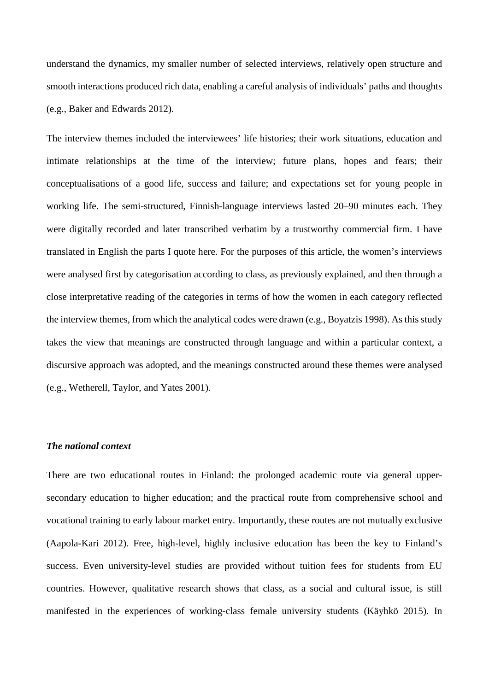understand the dynamics, my smaller number of selected interviews, relatively open structure and smooth interactions produced rich data, enabling a careful analysis of individuals' paths and thoughts (e.g., Baker and Edwards 2012).

The interview themes included the interviewees' life histories; their work situations, education and intimate relationships at the time of the interview; future plans, hopes and fears; their conceptualisations of a good life, success and failure; and expectations set for young people in working life. The semi-structured, Finnish-language interviews lasted 20–90 minutes each. They were digitally recorded and later transcribed verbatim by a trustworthy commercial firm. I have translated in English the parts I quote here. For the purposes of this article, the women's interviews were analysed first by categorisation according to class, as previously explained, and then through a close interpretative reading of the categories in terms of how the women in each category reflected the interview themes, from which the analytical codes were drawn (e.g., Boyatzis 1998). As this study takes the view that meanings are constructed through language and within a particular context, a discursive approach was adopted, and the meanings constructed around these themes were analysed (e.g., Wetherell, Taylor, and Yates 2001).

## *The national context*

There are two educational routes in Finland: the prolonged academic route via general uppersecondary education to higher education; and the practical route from comprehensive school and vocational training to early labour market entry. Importantly, these routes are not mutually exclusive (Aapola-Kari 2012). Free, high-level, highly inclusive education has been the key to Finland's success. Even university-level studies are provided without tuition fees for students from EU countries. However, qualitative research shows that class, as a social and cultural issue, is still manifested in the experiences of working-class female university students (Käyhkö 2015). In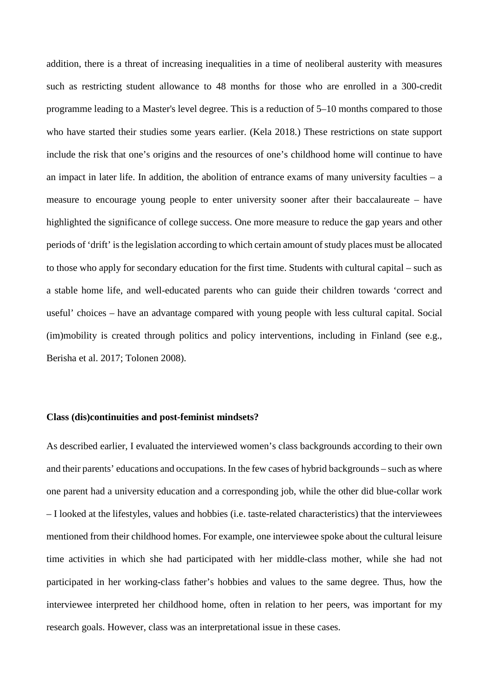addition, there is a threat of increasing inequalities in a time of neoliberal austerity with measures such as restricting student allowance to 48 months for those who are enrolled in a 300-credit programme leading to a Master's level degree. This is a reduction of 5–10 months compared to those who have started their studies some years earlier. (Kela 2018.) These restrictions on state support include the risk that one's origins and the resources of one's childhood home will continue to have an impact in later life. In addition, the abolition of entrance exams of many university faculties  $-$  a measure to encourage young people to enter university sooner after their baccalaureate – have highlighted the significance of college success. One more measure to reduce the gap years and other periods of 'drift' is the legislation according to which certain amount of study places must be allocated to those who apply for secondary education for the first time. Students with cultural capital – such as a stable home life, and well-educated parents who can guide their children towards 'correct and useful' choices – have an advantage compared with young people with less cultural capital. Social (im)mobility is created through politics and policy interventions, including in Finland (see e.g., Berisha et al. 2017; Tolonen 2008).

### **Class (dis)continuities and post-feminist mindsets?**

As described earlier, I evaluated the interviewed women's class backgrounds according to their own and their parents' educations and occupations. In the few cases of hybrid backgrounds – such as where one parent had a university education and a corresponding job, while the other did blue-collar work – I looked at the lifestyles, values and hobbies (i.e. taste-related characteristics) that the interviewees mentioned from their childhood homes. For example, one interviewee spoke about the cultural leisure time activities in which she had participated with her middle-class mother, while she had not participated in her working-class father's hobbies and values to the same degree. Thus, how the interviewee interpreted her childhood home, often in relation to her peers, was important for my research goals. However, class was an interpretational issue in these cases.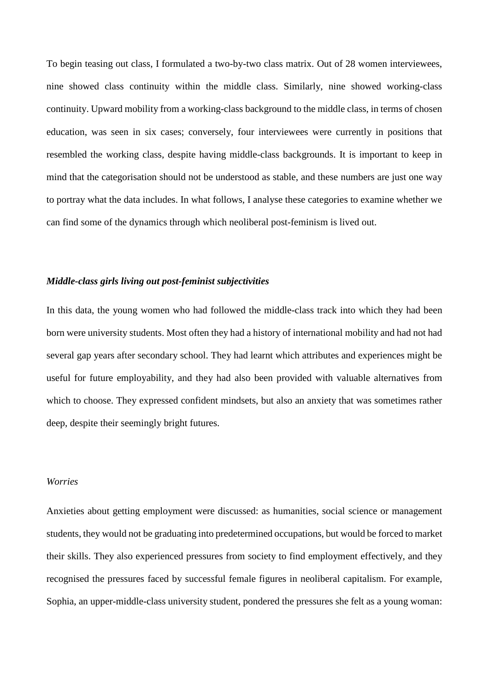To begin teasing out class, I formulated a two-by-two class matrix. Out of 28 women interviewees, nine showed class continuity within the middle class. Similarly, nine showed working-class continuity. Upward mobility from a working-class background to the middle class, in terms of chosen education, was seen in six cases; conversely, four interviewees were currently in positions that resembled the working class, despite having middle-class backgrounds. It is important to keep in mind that the categorisation should not be understood as stable, and these numbers are just one way to portray what the data includes. In what follows, I analyse these categories to examine whether we can find some of the dynamics through which neoliberal post-feminism is lived out.

## *Middle-class girls living out post-feminist subjectivities*

In this data, the young women who had followed the middle-class track into which they had been born were university students. Most often they had a history of international mobility and had not had several gap years after secondary school. They had learnt which attributes and experiences might be useful for future employability, and they had also been provided with valuable alternatives from which to choose. They expressed confident mindsets, but also an anxiety that was sometimes rather deep, despite their seemingly bright futures.

#### *Worries*

Anxieties about getting employment were discussed: as humanities, social science or management students, they would not be graduating into predetermined occupations, but would be forced to market their skills. They also experienced pressures from society to find employment effectively, and they recognised the pressures faced by successful female figures in neoliberal capitalism. For example, Sophia, an upper-middle-class university student, pondered the pressures she felt as a young woman: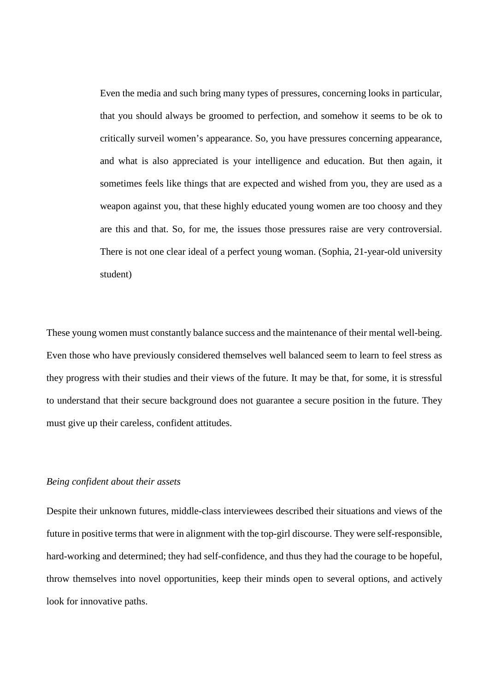Even the media and such bring many types of pressures, concerning looks in particular, that you should always be groomed to perfection, and somehow it seems to be ok to critically surveil women's appearance. So, you have pressures concerning appearance, and what is also appreciated is your intelligence and education. But then again, it sometimes feels like things that are expected and wished from you, they are used as a weapon against you, that these highly educated young women are too choosy and they are this and that. So, for me, the issues those pressures raise are very controversial. There is not one clear ideal of a perfect young woman. (Sophia, 21-year-old university student)

These young women must constantly balance success and the maintenance of their mental well-being. Even those who have previously considered themselves well balanced seem to learn to feel stress as they progress with their studies and their views of the future. It may be that, for some, it is stressful to understand that their secure background does not guarantee a secure position in the future. They must give up their careless, confident attitudes.

## *Being confident about their assets*

Despite their unknown futures, middle-class interviewees described their situations and views of the future in positive terms that were in alignment with the top-girl discourse. They were self-responsible, hard-working and determined; they had self-confidence, and thus they had the courage to be hopeful, throw themselves into novel opportunities, keep their minds open to several options, and actively look for innovative paths.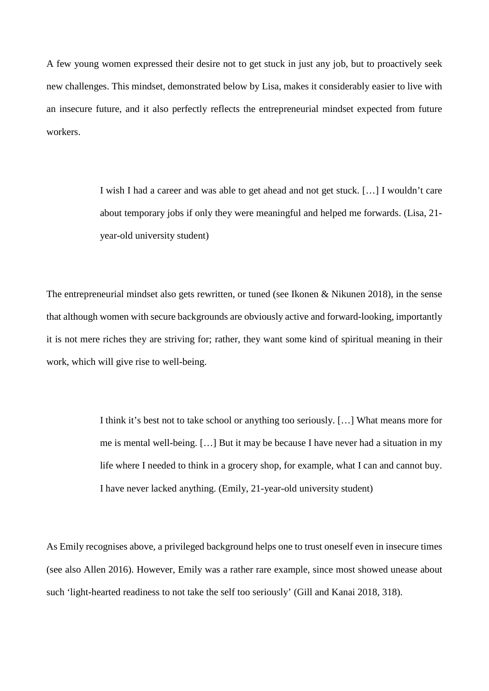A few young women expressed their desire not to get stuck in just any job, but to proactively seek new challenges. This mindset, demonstrated below by Lisa, makes it considerably easier to live with an insecure future, and it also perfectly reflects the entrepreneurial mindset expected from future workers.

> I wish I had a career and was able to get ahead and not get stuck. […] I wouldn't care about temporary jobs if only they were meaningful and helped me forwards. (Lisa, 21 year-old university student)

The entrepreneurial mindset also gets rewritten, or tuned (see Ikonen & Nikunen 2018), in the sense that although women with secure backgrounds are obviously active and forward-looking, importantly it is not mere riches they are striving for; rather, they want some kind of spiritual meaning in their work, which will give rise to well-being.

> I think it's best not to take school or anything too seriously. […] What means more for me is mental well-being. […] But it may be because I have never had a situation in my life where I needed to think in a grocery shop, for example, what I can and cannot buy. I have never lacked anything. (Emily, 21-year-old university student)

As Emily recognises above, a privileged background helps one to trust oneself even in insecure times (see also Allen 2016). However, Emily was a rather rare example, since most showed unease about such 'light-hearted readiness to not take the self too seriously' (Gill and Kanai 2018, 318).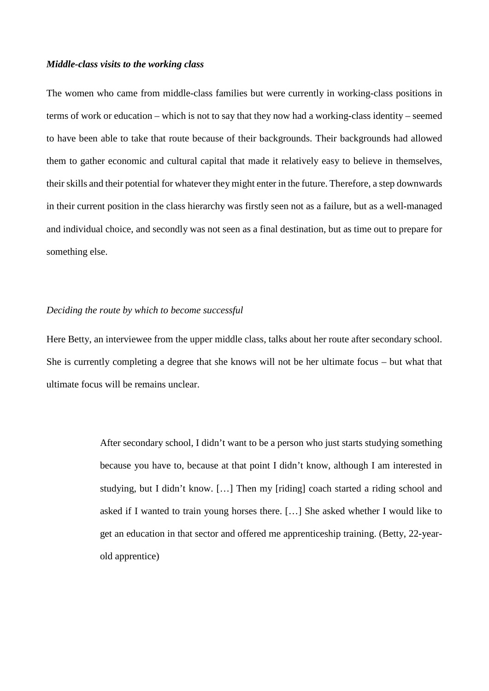#### *Middle-class visits to the working class*

The women who came from middle-class families but were currently in working-class positions in terms of work or education – which is not to say that they now had a working-class identity – seemed to have been able to take that route because of their backgrounds. Their backgrounds had allowed them to gather economic and cultural capital that made it relatively easy to believe in themselves, their skills and their potential for whatever they might enter in the future. Therefore, a step downwards in their current position in the class hierarchy was firstly seen not as a failure, but as a well-managed and individual choice, and secondly was not seen as a final destination, but as time out to prepare for something else.

## *Deciding the route by which to become successful*

Here Betty, an interviewee from the upper middle class, talks about her route after secondary school. She is currently completing a degree that she knows will not be her ultimate focus – but what that ultimate focus will be remains unclear.

> After secondary school, I didn't want to be a person who just starts studying something because you have to, because at that point I didn't know, although I am interested in studying, but I didn't know. […] Then my [riding] coach started a riding school and asked if I wanted to train young horses there. […] She asked whether I would like to get an education in that sector and offered me apprenticeship training. (Betty, 22-yearold apprentice)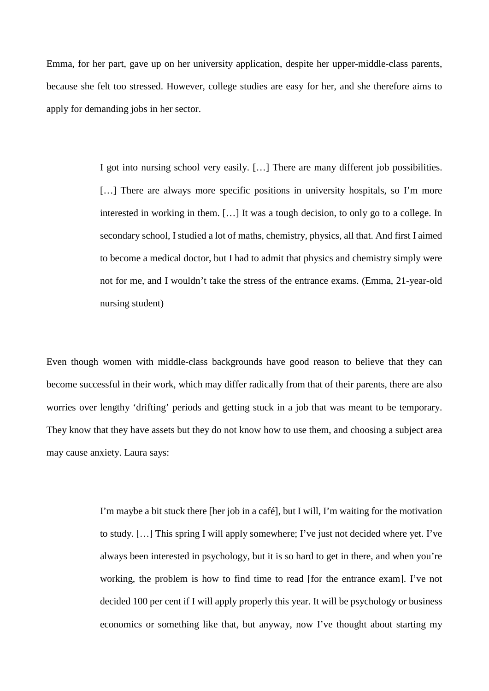Emma, for her part, gave up on her university application, despite her upper-middle-class parents, because she felt too stressed. However, college studies are easy for her, and she therefore aims to apply for demanding jobs in her sector.

> I got into nursing school very easily. […] There are many different job possibilities. [...] There are always more specific positions in university hospitals, so I'm more interested in working in them. […] It was a tough decision, to only go to a college. In secondary school, I studied a lot of maths, chemistry, physics, all that. And first I aimed to become a medical doctor, but I had to admit that physics and chemistry simply were not for me, and I wouldn't take the stress of the entrance exams. (Emma, 21-year-old nursing student)

Even though women with middle-class backgrounds have good reason to believe that they can become successful in their work, which may differ radically from that of their parents, there are also worries over lengthy 'drifting' periods and getting stuck in a job that was meant to be temporary. They know that they have assets but they do not know how to use them, and choosing a subject area may cause anxiety. Laura says:

> I'm maybe a bit stuck there [her job in a café], but I will, I'm waiting for the motivation to study. […] This spring I will apply somewhere; I've just not decided where yet. I've always been interested in psychology, but it is so hard to get in there, and when you're working, the problem is how to find time to read [for the entrance exam]. I've not decided 100 per cent if I will apply properly this year. It will be psychology or business economics or something like that, but anyway, now I've thought about starting my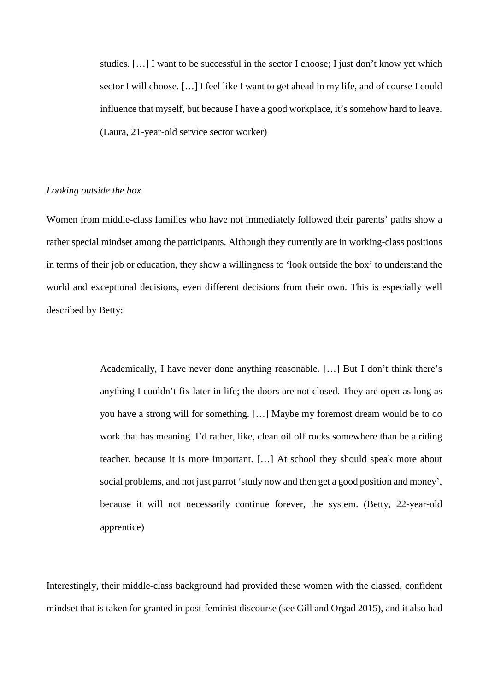studies. […] I want to be successful in the sector I choose; I just don't know yet which sector I will choose. […] I feel like I want to get ahead in my life, and of course I could influence that myself, but because I have a good workplace, it's somehow hard to leave. (Laura, 21-year-old service sector worker)

#### *Looking outside the box*

Women from middle-class families who have not immediately followed their parents' paths show a rather special mindset among the participants. Although they currently are in working-class positions in terms of their job or education, they show a willingness to 'look outside the box' to understand the world and exceptional decisions, even different decisions from their own. This is especially well described by Betty:

> Academically, I have never done anything reasonable. […] But I don't think there's anything I couldn't fix later in life; the doors are not closed. They are open as long as you have a strong will for something. […] Maybe my foremost dream would be to do work that has meaning. I'd rather, like, clean oil off rocks somewhere than be a riding teacher, because it is more important. […] At school they should speak more about social problems, and not just parrot 'study now and then get a good position and money', because it will not necessarily continue forever, the system. (Betty, 22-year-old apprentice)

Interestingly, their middle-class background had provided these women with the classed, confident mindset that is taken for granted in post-feminist discourse (see Gill and Orgad 2015), and it also had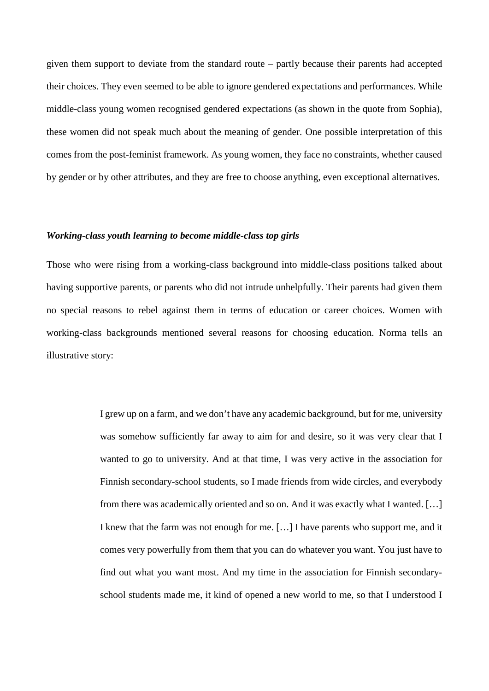given them support to deviate from the standard route – partly because their parents had accepted their choices. They even seemed to be able to ignore gendered expectations and performances. While middle-class young women recognised gendered expectations (as shown in the quote from Sophia), these women did not speak much about the meaning of gender. One possible interpretation of this comes from the post-feminist framework. As young women, they face no constraints, whether caused by gender or by other attributes, and they are free to choose anything, even exceptional alternatives.

## *Working-class youth learning to become middle-class top girls*

Those who were rising from a working-class background into middle-class positions talked about having supportive parents, or parents who did not intrude unhelpfully. Their parents had given them no special reasons to rebel against them in terms of education or career choices. Women with working-class backgrounds mentioned several reasons for choosing education. Norma tells an illustrative story:

> I grew up on a farm, and we don't have any academic background, but for me, university was somehow sufficiently far away to aim for and desire, so it was very clear that I wanted to go to university. And at that time, I was very active in the association for Finnish secondary-school students, so I made friends from wide circles, and everybody from there was academically oriented and so on. And it was exactly what I wanted. […] I knew that the farm was not enough for me. […] I have parents who support me, and it comes very powerfully from them that you can do whatever you want. You just have to find out what you want most. And my time in the association for Finnish secondaryschool students made me, it kind of opened a new world to me, so that I understood I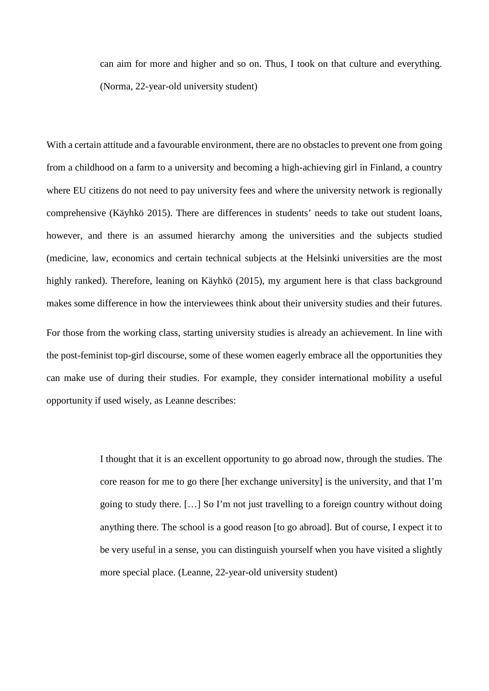can aim for more and higher and so on. Thus, I took on that culture and everything. (Norma, 22-year-old university student)

With a certain attitude and a favourable environment, there are no obstacles to prevent one from going from a childhood on a farm to a university and becoming a high-achieving girl in Finland, a country where EU citizens do not need to pay university fees and where the university network is regionally comprehensive (Käyhkö 2015). There are differences in students' needs to take out student loans, however, and there is an assumed hierarchy among the universities and the subjects studied (medicine, law, economics and certain technical subjects at the Helsinki universities are the most highly ranked). Therefore, leaning on Käyhkö (2015), my argument here is that class background makes some difference in how the interviewees think about their university studies and their futures.

For those from the working class, starting university studies is already an achievement. In line with the post-feminist top-girl discourse, some of these women eagerly embrace all the opportunities they can make use of during their studies. For example, they consider international mobility a useful opportunity if used wisely, as Leanne describes:

> I thought that it is an excellent opportunity to go abroad now, through the studies. The core reason for me to go there [her exchange university] is the university, and that I'm going to study there. […] So I'm not just travelling to a foreign country without doing anything there. The school is a good reason [to go abroad]. But of course, I expect it to be very useful in a sense, you can distinguish yourself when you have visited a slightly more special place. (Leanne, 22-year-old university student)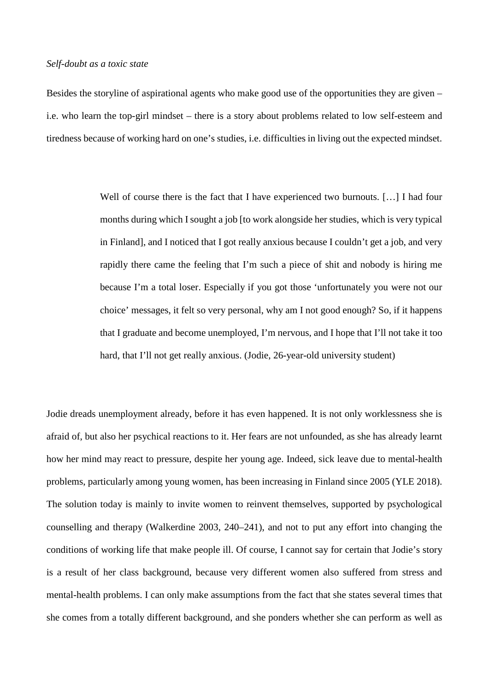#### *Self-doubt as a toxic state*

Besides the storyline of aspirational agents who make good use of the opportunities they are given – i.e. who learn the top-girl mindset – there is a story about problems related to low self-esteem and tiredness because of working hard on one's studies, i.e. difficulties in living out the expected mindset.

> Well of course there is the fact that I have experienced two burnouts. [...] I had four months during which I sought a job [to work alongside her studies, which is very typical in Finland], and I noticed that I got really anxious because I couldn't get a job, and very rapidly there came the feeling that I'm such a piece of shit and nobody is hiring me because I'm a total loser. Especially if you got those 'unfortunately you were not our choice' messages, it felt so very personal, why am I not good enough? So, if it happens that I graduate and become unemployed, I'm nervous, and I hope that I'll not take it too hard, that I'll not get really anxious. (Jodie, 26-year-old university student)

Jodie dreads unemployment already, before it has even happened. It is not only worklessness she is afraid of, but also her psychical reactions to it. Her fears are not unfounded, as she has already learnt how her mind may react to pressure, despite her young age. Indeed, sick leave due to mental-health problems, particularly among young women, has been increasing in Finland since 2005 (YLE 2018). The solution today is mainly to invite women to reinvent themselves, supported by psychological counselling and therapy (Walkerdine 2003, 240–241), and not to put any effort into changing the conditions of working life that make people ill. Of course, I cannot say for certain that Jodie's story is a result of her class background, because very different women also suffered from stress and mental-health problems. I can only make assumptions from the fact that she states several times that she comes from a totally different background, and she ponders whether she can perform as well as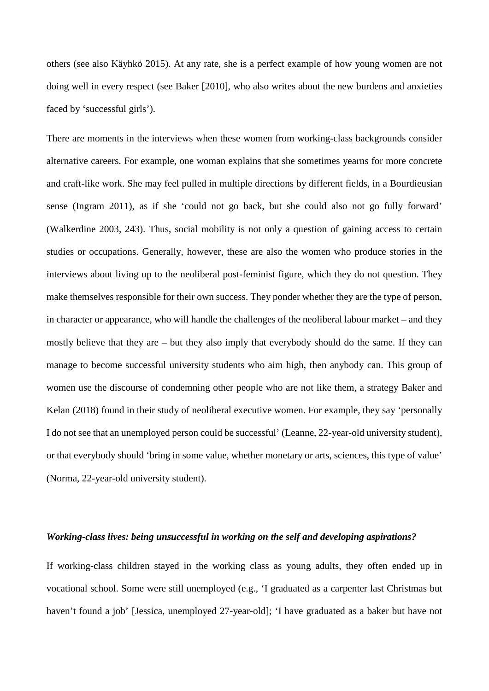others (see also Käyhkö 2015). At any rate, she is a perfect example of how young women are not doing well in every respect (see Baker [2010], who also writes about the new burdens and anxieties faced by 'successful girls').

There are moments in the interviews when these women from working-class backgrounds consider alternative careers. For example, one woman explains that she sometimes yearns for more concrete and craft-like work. She may feel pulled in multiple directions by different fields, in a Bourdieusian sense (Ingram 2011), as if she 'could not go back, but she could also not go fully forward' (Walkerdine 2003, 243). Thus, social mobility is not only a question of gaining access to certain studies or occupations. Generally, however, these are also the women who produce stories in the interviews about living up to the neoliberal post-feminist figure, which they do not question. They make themselves responsible for their own success. They ponder whether they are the type of person, in character or appearance, who will handle the challenges of the neoliberal labour market – and they mostly believe that they are – but they also imply that everybody should do the same. If they can manage to become successful university students who aim high, then anybody can. This group of women use the discourse of condemning other people who are not like them, a strategy Baker and Kelan (2018) found in their study of neoliberal executive women. For example, they say 'personally I do not see that an unemployed person could be successful' (Leanne, 22-year-old university student), or that everybody should 'bring in some value, whether monetary or arts, sciences, this type of value' (Norma, 22-year-old university student).

## *Working-class lives: being unsuccessful in working on the self and developing aspirations?*

If working-class children stayed in the working class as young adults, they often ended up in vocational school. Some were still unemployed (e.g., 'I graduated as a carpenter last Christmas but haven't found a job' [Jessica, unemployed 27-year-old]; 'I have graduated as a baker but have not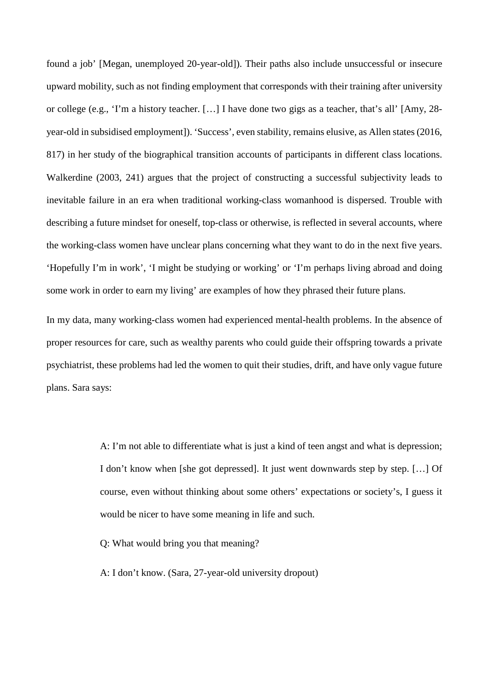found a job' [Megan, unemployed 20-year-old]). Their paths also include unsuccessful or insecure upward mobility, such as not finding employment that corresponds with their training after university or college (e.g., 'I'm a history teacher. […] I have done two gigs as a teacher, that's all' [Amy, 28 year-old in subsidised employment]). 'Success', even stability, remains elusive, as Allen states (2016, 817) in her study of the biographical transition accounts of participants in different class locations. Walkerdine (2003, 241) argues that the project of constructing a successful subjectivity leads to inevitable failure in an era when traditional working-class womanhood is dispersed. Trouble with describing a future mindset for oneself, top-class or otherwise, is reflected in several accounts, where the working-class women have unclear plans concerning what they want to do in the next five years. 'Hopefully I'm in work', 'I might be studying or working' or 'I'm perhaps living abroad and doing some work in order to earn my living' are examples of how they phrased their future plans.

In my data, many working-class women had experienced mental-health problems. In the absence of proper resources for care, such as wealthy parents who could guide their offspring towards a private psychiatrist, these problems had led the women to quit their studies, drift, and have only vague future plans. Sara says:

> A: I'm not able to differentiate what is just a kind of teen angst and what is depression; I don't know when [she got depressed]. It just went downwards step by step. […] Of course, even without thinking about some others' expectations or society's, I guess it would be nicer to have some meaning in life and such.

Q: What would bring you that meaning?

A: I don't know. (Sara, 27-year-old university dropout)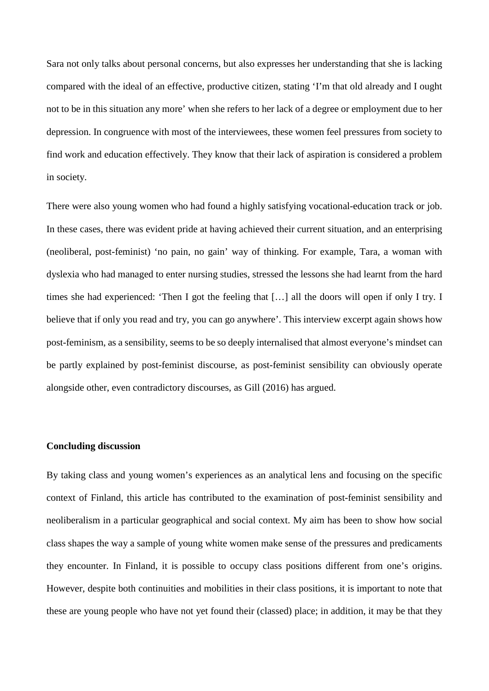Sara not only talks about personal concerns, but also expresses her understanding that she is lacking compared with the ideal of an effective, productive citizen, stating 'I'm that old already and I ought not to be in this situation any more' when she refers to her lack of a degree or employment due to her depression. In congruence with most of the interviewees, these women feel pressures from society to find work and education effectively. They know that their lack of aspiration is considered a problem in society.

There were also young women who had found a highly satisfying vocational-education track or job. In these cases, there was evident pride at having achieved their current situation, and an enterprising (neoliberal, post-feminist) 'no pain, no gain' way of thinking. For example, Tara, a woman with dyslexia who had managed to enter nursing studies, stressed the lessons she had learnt from the hard times she had experienced: 'Then I got the feeling that […] all the doors will open if only I try. I believe that if only you read and try, you can go anywhere'. This interview excerpt again shows how post-feminism, as a sensibility, seems to be so deeply internalised that almost everyone's mindset can be partly explained by post-feminist discourse, as post-feminist sensibility can obviously operate alongside other, even contradictory discourses, as Gill (2016) has argued.

## **Concluding discussion**

By taking class and young women's experiences as an analytical lens and focusing on the specific context of Finland, this article has contributed to the examination of post-feminist sensibility and neoliberalism in a particular geographical and social context. My aim has been to show how social class shapes the way a sample of young white women make sense of the pressures and predicaments they encounter. In Finland, it is possible to occupy class positions different from one's origins. However, despite both continuities and mobilities in their class positions, it is important to note that these are young people who have not yet found their (classed) place; in addition, it may be that they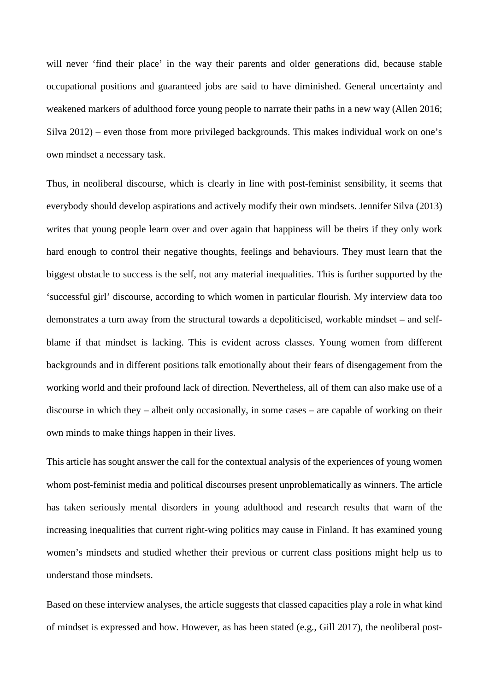will never 'find their place' in the way their parents and older generations did, because stable occupational positions and guaranteed jobs are said to have diminished. General uncertainty and weakened markers of adulthood force young people to narrate their paths in a new way (Allen 2016; Silva 2012) – even those from more privileged backgrounds. This makes individual work on one's own mindset a necessary task.

Thus, in neoliberal discourse, which is clearly in line with post-feminist sensibility, it seems that everybody should develop aspirations and actively modify their own mindsets. Jennifer Silva (2013) writes that young people learn over and over again that happiness will be theirs if they only work hard enough to control their negative thoughts, feelings and behaviours. They must learn that the biggest obstacle to success is the self, not any material inequalities. This is further supported by the 'successful girl' discourse, according to which women in particular flourish. My interview data too demonstrates a turn away from the structural towards a depoliticised, workable mindset – and selfblame if that mindset is lacking. This is evident across classes. Young women from different backgrounds and in different positions talk emotionally about their fears of disengagement from the working world and their profound lack of direction. Nevertheless, all of them can also make use of a discourse in which they – albeit only occasionally, in some cases – are capable of working on their own minds to make things happen in their lives.

This article has sought answer the call for the contextual analysis of the experiences of young women whom post-feminist media and political discourses present unproblematically as winners. The article has taken seriously mental disorders in young adulthood and research results that warn of the increasing inequalities that current right-wing politics may cause in Finland. It has examined young women's mindsets and studied whether their previous or current class positions might help us to understand those mindsets.

Based on these interview analyses, the article suggests that classed capacities play a role in what kind of mindset is expressed and how. However, as has been stated (e.g., Gill 2017), the neoliberal post-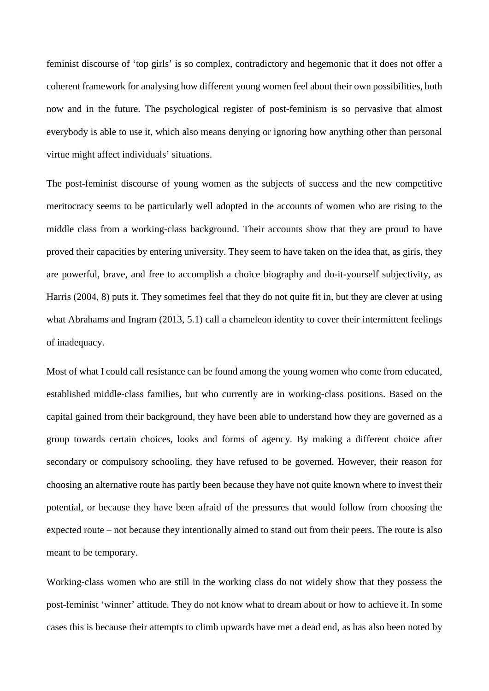feminist discourse of 'top girls' is so complex, contradictory and hegemonic that it does not offer a coherent framework for analysing how different young women feel about their own possibilities, both now and in the future. The psychological register of post-feminism is so pervasive that almost everybody is able to use it, which also means denying or ignoring how anything other than personal virtue might affect individuals' situations.

The post-feminist discourse of young women as the subjects of success and the new competitive meritocracy seems to be particularly well adopted in the accounts of women who are rising to the middle class from a working-class background. Their accounts show that they are proud to have proved their capacities by entering university. They seem to have taken on the idea that, as girls, they are powerful, brave, and free to accomplish a choice biography and do-it-yourself subjectivity, as Harris (2004, 8) puts it. They sometimes feel that they do not quite fit in, but they are clever at using what Abrahams and Ingram (2013, 5.1) call a chameleon identity to cover their intermittent feelings of inadequacy.

Most of what I could call resistance can be found among the young women who come from educated, established middle-class families, but who currently are in working-class positions. Based on the capital gained from their background, they have been able to understand how they are governed as a group towards certain choices, looks and forms of agency. By making a different choice after secondary or compulsory schooling, they have refused to be governed. However, their reason for choosing an alternative route has partly been because they have not quite known where to invest their potential, or because they have been afraid of the pressures that would follow from choosing the expected route – not because they intentionally aimed to stand out from their peers. The route is also meant to be temporary.

Working-class women who are still in the working class do not widely show that they possess the post-feminist 'winner' attitude. They do not know what to dream about or how to achieve it. In some cases this is because their attempts to climb upwards have met a dead end, as has also been noted by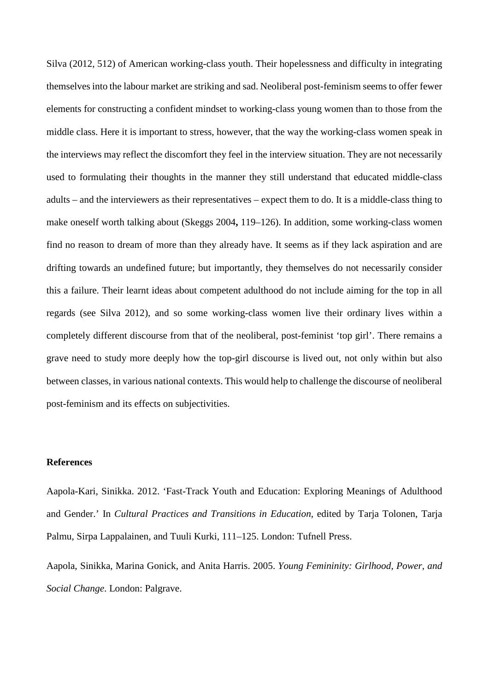Silva (2012, 512) of American working-class youth. Their hopelessness and difficulty in integrating themselves into the labour market are striking and sad. Neoliberal post-feminism seems to offer fewer elements for constructing a confident mindset to working-class young women than to those from the middle class. Here it is important to stress, however, that the way the working-class women speak in the interviews may reflect the discomfort they feel in the interview situation. They are not necessarily used to formulating their thoughts in the manner they still understand that educated middle-class adults – and the interviewers as their representatives – expect them to do. It is a middle-class thing to make oneself worth talking about (Skeggs 2004**,** 119–126). In addition, some working-class women find no reason to dream of more than they already have. It seems as if they lack aspiration and are drifting towards an undefined future; but importantly, they themselves do not necessarily consider this a failure. Their learnt ideas about competent adulthood do not include aiming for the top in all regards (see Silva 2012), and so some working-class women live their ordinary lives within a completely different discourse from that of the neoliberal, post-feminist 'top girl'. There remains a grave need to study more deeply how the top-girl discourse is lived out, not only within but also between classes, in various national contexts. This would help to challenge the discourse of neoliberal post-feminism and its effects on subjectivities.

## **References**

Aapola-Kari, Sinikka. 2012. 'Fast-Track Youth and Education: Exploring Meanings of Adulthood and Gender.' In *Cultural Practices and Transitions in Education*, edited by Tarja Tolonen, Tarja Palmu, Sirpa Lappalainen, and Tuuli Kurki, 111–125. London: Tufnell Press.

Aapola, Sinikka, Marina Gonick, and Anita Harris. 2005. *Young Femininity: Girlhood, Power, and Social Change*. London: Palgrave.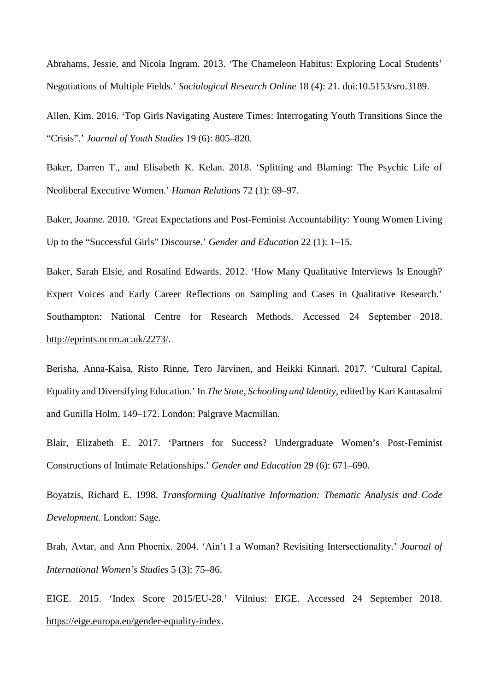Abrahams, Jessie, and Nicola Ingram. 2013. 'The Chameleon Habitus: Exploring Local Students' Negotiations of Multiple Fields.' *Sociological Research Online* 18 (4): 21. doi:10.5153/sro.3189.

Allen, Kim. 2016. 'Top Girls Navigating Austere Times: Interrogating Youth Transitions Since the "Crisis".' *Journal of Youth Studies* 19 (6): 805–820.

Baker, Darren T., and Elisabeth K. Kelan. 2018. 'Splitting and Blaming: The Psychic Life of Neoliberal Executive Women.' *Human Relations* 72 (1): 69–97.

Baker, Joanne. 2010. 'Great Expectations and Post-Feminist Accountability: Young Women Living Up to the "Successful Girls" Discourse.' *Gender and Education* 22 (1): 1–15.

Baker, Sarah Elsie, and Rosalind Edwards. 2012. 'How Many Qualitative Interviews Is Enough? Expert Voices and Early Career Reflections on Sampling and Cases in Qualitative Research.' Southampton: National Centre for Research Methods. Accessed 24 September 2018. [http://eprints.ncrm.ac.uk/2273/.](http://eprints.ncrm.ac.uk/2273/)

Berisha, Anna-Kaisa, Risto Rinne, Tero Järvinen, and Heikki Kinnari. 2017. 'Cultural Capital, Equality and Diversifying Education.' In *The State, Schooling and Identity*, edited by Kari Kantasalmi and Gunilla Holm, 149–172. London: Palgrave Macmillan.

Blair, Elizabeth E. 2017. 'Partners for Success? Undergraduate Women's Post-Feminist Constructions of Intimate Relationships.' *Gender and Education* 29 (6): 671–690.

Boyatzis, Richard E. 1998. *Transforming Qualitative Information: Thematic Analysis and Code Development*. London: Sage.

Brah, Avtar, and Ann Phoenix. 2004. 'Ain't I a Woman? Revisiting Intersectionality.' *Journal of International Women's Studies* 5 (3): 75–86.

EIGE. 2015. 'Index Score 2015/EU-28.' Vilnius: EIGE. Accessed 24 September 2018. [https://eige.europa.eu/gender-equality-index.](https://eige.europa.eu/gender-equality-index)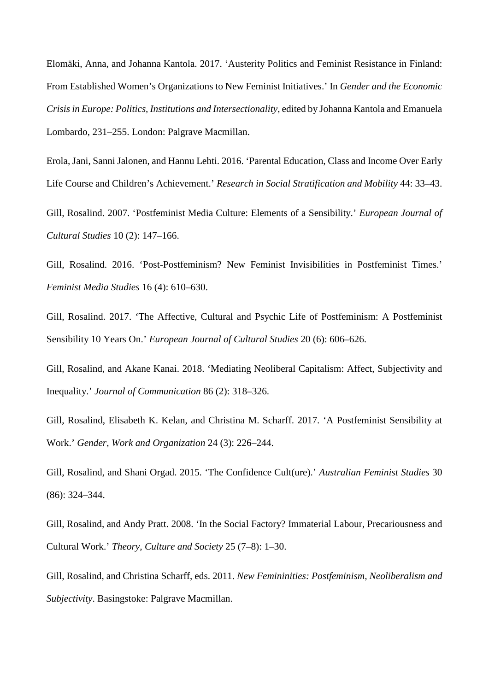Elomäki, Anna, and Johanna Kantola. 2017. 'Austerity Politics and Feminist Resistance in Finland: From Established Women's Organizations to New Feminist Initiatives.' In *Gender and the Economic Crisis in Europe: Politics, Institutions and Intersectionality*, edited by Johanna Kantola and Emanuela Lombardo, 231–255. London: Palgrave Macmillan.

Erola, Jani, Sanni Jalonen, and Hannu Lehti. 2016. 'Parental Education, Class and Income Over Early Life Course and Children's Achievement.' *Research in Social Stratification and Mobility* 44: 33–43.

Gill, Rosalind. 2007. 'Postfeminist Media Culture: Elements of a Sensibility.' *European Journal of Cultural Studies* 10 (2): 147–166.

Gill, Rosalind. 2016. 'Post-Postfeminism? New Feminist Invisibilities in Postfeminist Times.' *Feminist Media Studies* 16 (4): 610–630.

Gill, Rosalind. 2017. 'The Affective, Cultural and Psychic Life of Postfeminism: A Postfeminist Sensibility 10 Years On.' *European Journal of Cultural Studies* 20 (6): 606–626.

Gill, Rosalind, and Akane Kanai. 2018. 'Mediating Neoliberal Capitalism: Affect, Subjectivity and Inequality.' *Journal of Communication* 86 (2): 318–326.

Gill, Rosalind, Elisabeth K. Kelan, and Christina M. Scharff. 2017. 'A Postfeminist Sensibility at Work.' *Gender, Work and Organization* 24 (3): 226–244.

Gill, Rosalind, and Shani Orgad. 2015. 'The Confidence Cult(ure).' *Australian Feminist Studies* 30 (86): 324–344.

Gill, Rosalind, and Andy Pratt. 2008. 'In the Social Factory? Immaterial Labour, Precariousness and Cultural Work.' *Theory, Culture and Society* 25 (7–8): 1–30.

Gill, Rosalind, and Christina Scharff, eds. 2011. *New Femininities: Postfeminism, Neoliberalism and Subjectivity*. Basingstoke: Palgrave Macmillan.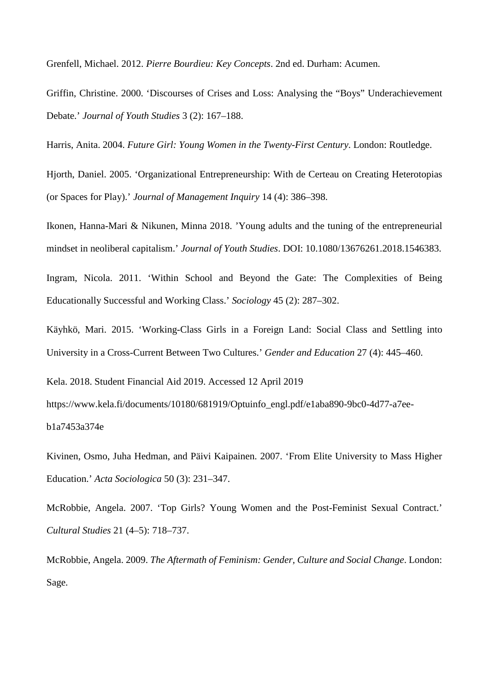Grenfell, Michael. 2012. *Pierre Bourdieu: Key Concepts*. 2nd ed. Durham: Acumen.

Griffin, Christine. 2000. 'Discourses of Crises and Loss: Analysing the "Boys" Underachievement Debate.' *Journal of Youth Studies* 3 (2): 167–188.

Harris, Anita. 2004. *Future Girl: Young Women in the Twenty-First Century*. London: Routledge.

Hjorth, Daniel. 2005. 'Organizational Entrepreneurship: With de Certeau on Creating Heterotopias (or Spaces for Play).' *Journal of Management Inquiry* 14 (4): 386–398.

Ikonen, Hanna-Mari & Nikunen, Minna 2018. 'Young adults and the tuning of the entrepreneurial mindset in neoliberal capitalism.' *Journal of Youth Studies*. DOI: 10.1080/13676261.2018.1546383.

Ingram, Nicola. 2011. 'Within School and Beyond the Gate: The Complexities of Being Educationally Successful and Working Class.' *Sociology* 45 (2): 287–302.

Käyhkö, Mari. 2015. 'Working-Class Girls in a Foreign Land: Social Class and Settling into University in a Cross-Current Between Two Cultures.' *Gender and Education* 27 (4): 445–460.

Kela. 2018. Student Financial Aid 2019. Accessed 12 April 2019

https://www.kela.fi/documents/10180/681919/Optuinfo\_engl.pdf/e1aba890-9bc0-4d77-a7eeb1a7453a374e

Kivinen, Osmo, Juha Hedman, and Päivi Kaipainen. 2007. 'From Elite University to Mass Higher Education.' *Acta Sociologica* 50 (3): 231–347.

McRobbie, Angela. 2007. 'Top Girls? Young Women and the Post-Feminist Sexual Contract.' *Cultural Studies* 21 (4–5): 718–737.

McRobbie, Angela. 2009. *The Aftermath of Feminism: Gender, Culture and Social Change*. London: Sage.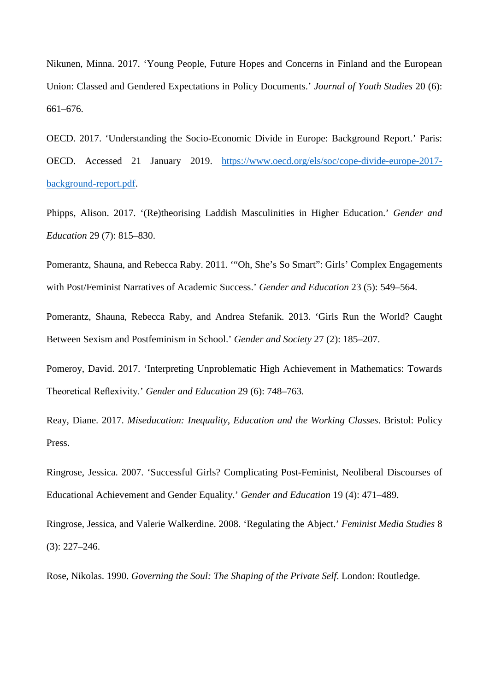Nikunen, Minna. 2017. 'Young People, Future Hopes and Concerns in Finland and the European Union: Classed and Gendered Expectations in Policy Documents.' *Journal of Youth Studies* 20 (6): 661–676.

OECD. 2017. 'Understanding the Socio-Economic Divide in Europe: Background Report.' Paris: OECD. Accessed 21 January 2019. [https://www.oecd.org/els/soc/cope-divide-europe-2017](https://www.oecd.org/els/soc/cope-divide-europe-2017-background-report.pdf) [background-report.pdf.](https://www.oecd.org/els/soc/cope-divide-europe-2017-background-report.pdf)

Phipps, Alison. 2017. '(Re)theorising Laddish Masculinities in Higher Education.' *Gender and Education* 29 (7): 815–830.

Pomerantz, Shauna, and Rebecca Raby. 2011. '"Oh, She's So Smart": Girls' Complex Engagements with Post/Feminist Narratives of Academic Success.' *Gender and Education* 23 (5): 549–564.

Pomerantz, Shauna, Rebecca Raby, and Andrea Stefanik. 2013. 'Girls Run the World? Caught Between Sexism and Postfeminism in School.' *Gender and Society* 27 (2): 185–207.

Pomeroy, David. 2017. 'Interpreting Unproblematic High Achievement in Mathematics: Towards Theoretical Reflexivity.' *Gender and Education* 29 (6): 748–763.

Reay, Diane. 2017. *Miseducation: Inequality, Education and the Working Classes*. Bristol: Policy Press.

Ringrose, Jessica. 2007. 'Successful Girls? Complicating Post-Feminist, Neoliberal Discourses of Educational Achievement and Gender Equality.' *Gender and Education* 19 (4): 471–489.

Ringrose, Jessica, and Valerie Walkerdine. 2008. 'Regulating the Abject.' *Feminist Media Studies* 8 (3): 227–246.

Rose, Nikolas. 1990. *Governing the Soul: The Shaping of the Private Self*. London: Routledge.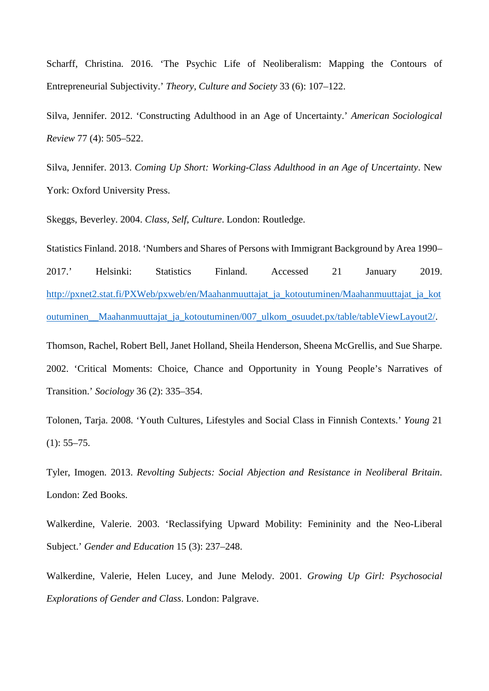Scharff, Christina. 2016. 'The Psychic Life of Neoliberalism: Mapping the Contours of Entrepreneurial Subjectivity.' *Theory, Culture and Society* 33 (6): 107–122.

Silva, Jennifer. 2012. 'Constructing Adulthood in an Age of Uncertainty.' *American Sociological Review* 77 (4): 505–522.

Silva, Jennifer. 2013. *Coming Up Short: Working-Class Adulthood in an Age of Uncertainty*. New York: Oxford University Press.

Skeggs, Beverley. 2004. *Class, Self, Culture*. London: Routledge.

Statistics Finland. 2018. 'Numbers and Shares of Persons with Immigrant Background by Area 1990– 2017.' Helsinki: Statistics Finland. Accessed 21 January 2019. [http://pxnet2.stat.fi/PXWeb/pxweb/en/Maahanmuuttajat\\_ja\\_kotoutuminen/Maahanmuuttajat\\_ja\\_kot](http://pxnet2.stat.fi/PXWeb/pxweb/en/Maahanmuuttajat_ja_kotoutuminen/Maahanmuuttajat_ja_kotoutuminen__Maahanmuuttajat_ja_kotoutuminen/007_ulkom_osuudet.px/table/tableViewLayout2/) [outuminen\\_\\_Maahanmuuttajat\\_ja\\_kotoutuminen/007\\_ulkom\\_osuudet.px/table/tableViewLayout2/.](http://pxnet2.stat.fi/PXWeb/pxweb/en/Maahanmuuttajat_ja_kotoutuminen/Maahanmuuttajat_ja_kotoutuminen__Maahanmuuttajat_ja_kotoutuminen/007_ulkom_osuudet.px/table/tableViewLayout2/)

Thomson, Rachel, Robert Bell, Janet Holland, Sheila Henderson, Sheena McGrellis, and Sue Sharpe. 2002. 'Critical Moments: Choice, Chance and Opportunity in Young People's Narratives of Transition.' *Sociology* 36 (2): 335–354.

Tolonen, Tarja. 2008. 'Youth Cultures, Lifestyles and Social Class in Finnish Contexts.' *Young* 21  $(1): 55-75.$ 

Tyler, Imogen. 2013. *Revolting Subjects: Social Abjection and Resistance in Neoliberal Britain*. London: Zed Books.

Walkerdine, Valerie. 2003. 'Reclassifying Upward Mobility: Femininity and the Neo-Liberal Subject.' *Gender and Education* 15 (3): 237–248.

Walkerdine, Valerie, Helen Lucey, and June Melody. 2001. *Growing Up Girl: Psychosocial Explorations of Gender and Class*. London: Palgrave.